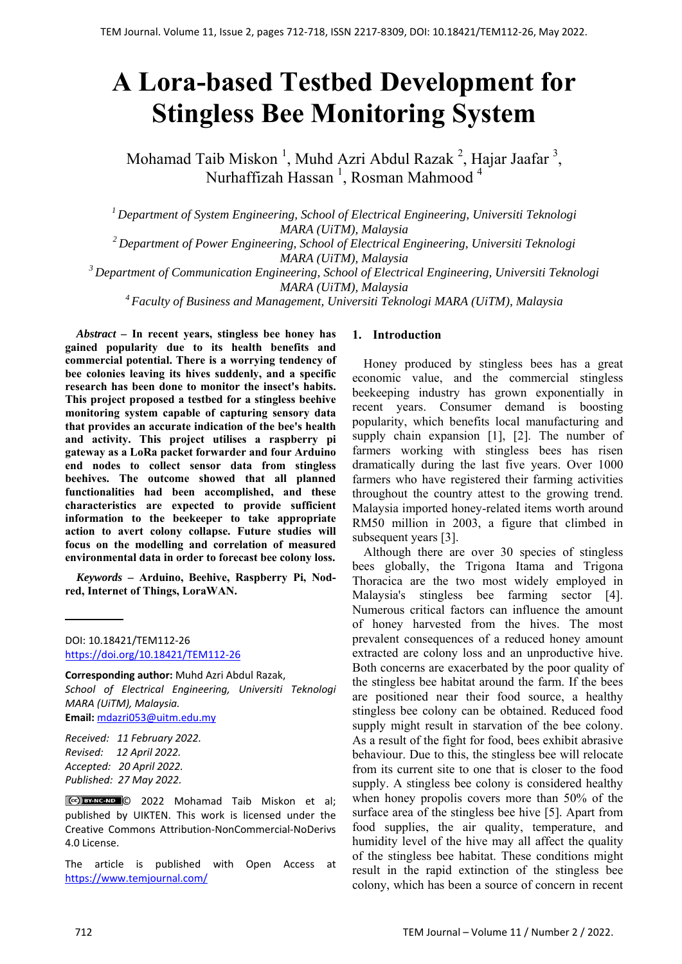# **A Lora-based Testbed Development for Stingless Bee Monitoring System**

Mohamad Taib Miskon<sup>1</sup>, Muhd Azri Abdul Razak<sup>2</sup>, Hajar Jaafar<sup>3</sup>, Nurhaffizah Hassan <sup>1</sup>, Rosman Mahmood <sup>4</sup>

*1 Department of System Engineering, School of Electrical Engineering, Universiti Teknologi MARA (UiTM), Malaysia* 

*2 Department of Power Engineering, School of Electrical Engineering, Universiti Teknologi MARA (UiTM), Malaysia* 

*3 Department of Communication Engineering, School of Electrical Engineering, Universiti Teknologi MARA (UiTM), Malaysia* 

*4 Faculty of Business and Management, Universiti Teknologi MARA (UiTM), Malaysia* 

*Abstract –* **In recent years, stingless bee honey has gained popularity due to its health benefits and commercial potential. There is a worrying tendency of bee colonies leaving its hives suddenly, and a specific research has been done to monitor the insect's habits. This project proposed a testbed for a stingless beehive monitoring system capable of capturing sensory data that provides an accurate indication of the bee's health and activity. This project utilises a raspberry pi gateway as a LoRa packet forwarder and four Arduino end nodes to collect sensor data from stingless beehives. The outcome showed that all planned functionalities had been accomplished, and these characteristics are expected to provide sufficient information to the beekeeper to take appropriate action to avert colony collapse. Future studies will focus on the modelling and correlation of measured environmental data in order to forecast bee colony loss.**

*Keywords –* **Arduino, Beehive, Raspberry Pi, Nodred, Internet of Things, LoraWAN.** 

DOI: 10.18421/TEM112-26 [https://doi.org/10.18421/TEM112](https://doi.org/10.18421/TEM112-26)-26

**Corresponding author:** Muhd Azri Abdul Razak, *School of Electrical Engineering, Universiti Teknologi MARA (UiTM), Malaysia.*  **Email:** mdazri053@uitm.edu.my

*Received: 11 February 2022. Revised: 12 April 2022. Accepted: 20 April 2022. Published: 27 May 2022.* 

© 2022 Mohamad Taib Miskon et al; published by UIKTEN. This work is licensed under the Creative Commons Attribution‐NonCommercial‐NoDerivs 4.0 License.

The article is published with Open Access at https://www.temjournal.com/

# **1. Introduction**

Honey produced by stingless bees has a great economic value, and the commercial stingless beekeeping industry has grown exponentially in recent years. Consumer demand is boosting popularity, which benefits local manufacturing and supply chain expansion [1], [2]. The number of farmers working with stingless bees has risen dramatically during the last five years. Over 1000 farmers who have registered their farming activities throughout the country attest to the growing trend. Malaysia imported honey-related items worth around RM50 million in 2003, a figure that climbed in subsequent years [3].

Although there are over 30 species of stingless bees globally, the Trigona Itama and Trigona Thoracica are the two most widely employed in Malaysia's stingless bee farming sector [4]. Numerous critical factors can influence the amount of honey harvested from the hives. The most prevalent consequences of a reduced honey amount extracted are colony loss and an unproductive hive. Both concerns are exacerbated by the poor quality of the stingless bee habitat around the farm. If the bees are positioned near their food source, a healthy stingless bee colony can be obtained. Reduced food supply might result in starvation of the bee colony. As a result of the fight for food, bees exhibit abrasive behaviour. Due to this, the stingless bee will relocate from its current site to one that is closer to the food supply. A stingless bee colony is considered healthy when honey propolis covers more than 50% of the surface area of the stingless bee hive [5]. Apart from food supplies, the air quality, temperature, and humidity level of the hive may all affect the quality of the stingless bee habitat. These conditions might result in the rapid extinction of the stingless bee colony, which has been a source of concern in recent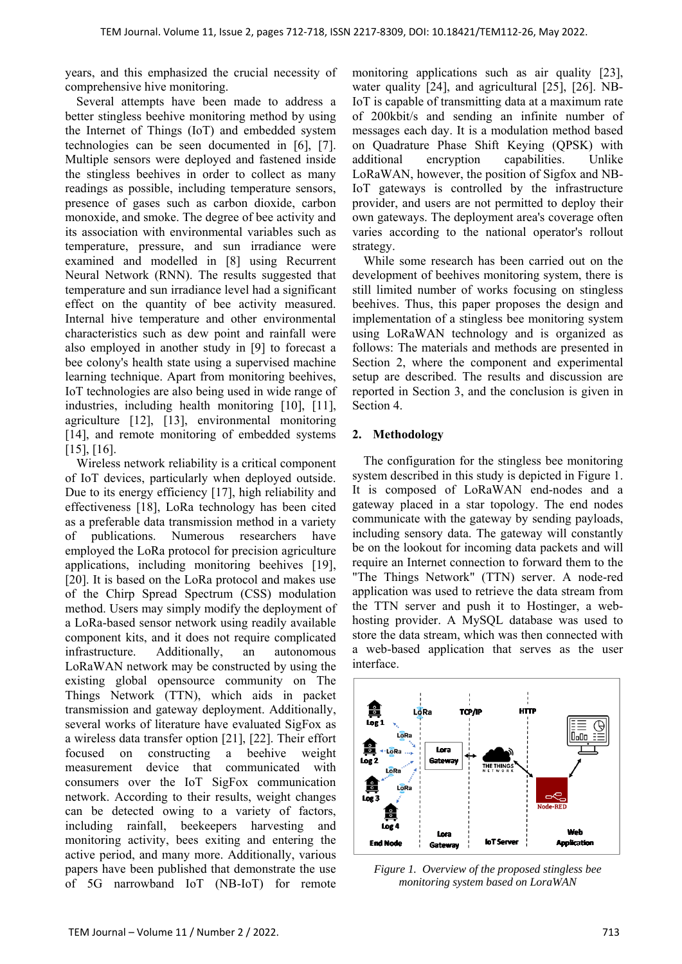years, and this emphasized the crucial necessity of comprehensive hive monitoring.

Several attempts have been made to address a better stingless beehive monitoring method by using the Internet of Things (IoT) and embedded system technologies can be seen documented in [6], [7]. Multiple sensors were deployed and fastened inside the stingless beehives in order to collect as many readings as possible, including temperature sensors, presence of gases such as carbon dioxide, carbon monoxide, and smoke. The degree of bee activity and its association with environmental variables such as temperature, pressure, and sun irradiance were examined and modelled in [8] using Recurrent Neural Network (RNN). The results suggested that temperature and sun irradiance level had a significant effect on the quantity of bee activity measured. Internal hive temperature and other environmental characteristics such as dew point and rainfall were also employed in another study in [9] to forecast a bee colony's health state using a supervised machine learning technique. Apart from monitoring beehives, IoT technologies are also being used in wide range of industries, including health monitoring [10], [11], agriculture [12], [13], environmental monitoring [14], and remote monitoring of embedded systems [15], [16].

Wireless network reliability is a critical component of IoT devices, particularly when deployed outside. Due to its energy efficiency [17], high reliability and effectiveness [18], LoRa technology has been cited as a preferable data transmission method in a variety of publications. Numerous researchers have employed the LoRa protocol for precision agriculture applications, including monitoring beehives [19], [20]. It is based on the LoRa protocol and makes use of the Chirp Spread Spectrum (CSS) modulation method. Users may simply modify the deployment of a LoRa-based sensor network using readily available component kits, and it does not require complicated infrastructure. Additionally, an autonomous LoRaWAN network may be constructed by using the existing global opensource community on The Things Network (TTN), which aids in packet transmission and gateway deployment. Additionally, several works of literature have evaluated SigFox as a wireless data transfer option [21], [22]. Their effort focused on constructing a beehive weight measurement device that communicated with consumers over the IoT SigFox communication network. According to their results, weight changes can be detected owing to a variety of factors, including rainfall, beekeepers harvesting and monitoring activity, bees exiting and entering the active period, and many more. Additionally, various papers have been published that demonstrate the use of 5G narrowband IoT (NB-IoT) for remote

monitoring applications such as air quality [23], water quality [24], and agricultural [25], [26]. NB-IoT is capable of transmitting data at a maximum rate of 200kbit/s and sending an infinite number of messages each day. It is a modulation method based on Quadrature Phase Shift Keying (QPSK) with additional encryption capabilities. Unlike LoRaWAN, however, the position of Sigfox and NB-IoT gateways is controlled by the infrastructure provider, and users are not permitted to deploy their own gateways. The deployment area's coverage often varies according to the national operator's rollout strategy.

While some research has been carried out on the development of beehives monitoring system, there is still limited number of works focusing on stingless beehives. Thus, this paper proposes the design and implementation of a stingless bee monitoring system using LoRaWAN technology and is organized as follows: The materials and methods are presented in Section 2, where the component and experimental setup are described. The results and discussion are reported in Section 3, and the conclusion is given in Section 4.

# **2. Methodology**

The configuration for the stingless bee monitoring system described in this study is depicted in Figure 1. It is composed of LoRaWAN end-nodes and a gateway placed in a star topology. The end nodes communicate with the gateway by sending payloads, including sensory data. The gateway will constantly be on the lookout for incoming data packets and will require an Internet connection to forward them to the "The Things Network" (TTN) server. A node-red application was used to retrieve the data stream from the TTN server and push it to Hostinger, a webhosting provider. A MySQL database was used to store the data stream, which was then connected with a web-based application that serves as the user interface.



*Figure 1. Overview of the proposed stingless bee monitoring system based on LoraWAN*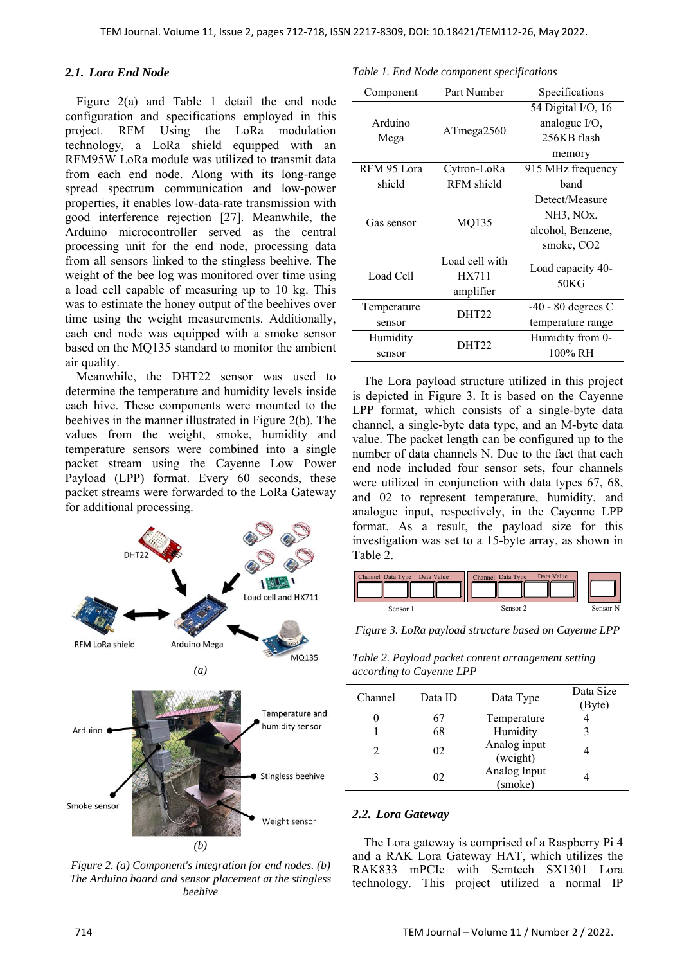# *2.1. Lora End Node*

Figure 2(a) and Table 1 detail the end node configuration and specifications employed in this project. RFM Using the LoRa modulation technology, a LoRa shield equipped with an RFM95W LoRa module was utilized to transmit data from each end node. Along with its long-range spread spectrum communication and low-power properties, it enables low-data-rate transmission with good interference rejection [27]. Meanwhile, the Arduino microcontroller served as the central processing unit for the end node, processing data from all sensors linked to the stingless beehive. The weight of the bee log was monitored over time using a load cell capable of measuring up to 10 kg. This was to estimate the honey output of the beehives over time using the weight measurements. Additionally, each end node was equipped with a smoke sensor based on the MQ135 standard to monitor the ambient air quality.

Meanwhile, the DHT22 sensor was used to determine the temperature and humidity levels inside each hive. These components were mounted to the beehives in the manner illustrated in Figure 2(b). The values from the weight, smoke, humidity and temperature sensors were combined into a single packet stream using the Cayenne Low Power Payload (LPP) format. Every 60 seconds, these packet streams were forwarded to the LoRa Gateway for additional processing.



*Figure 2. (a) Component's integration for end nodes. (b) The Arduino board and sensor placement at the stingless beehive* 

*Table 1. End Node component specifications* 

| Component   | Part Number    | Specifications            |  |
|-------------|----------------|---------------------------|--|
|             |                | 54 Digital I/O, 16        |  |
| Arduino     |                | analogue I/O,             |  |
| Mega        | ATmega2560     | 256KB flash               |  |
|             |                | memory                    |  |
| RFM 95 Lora | Cytron-LoRa    | 915 MHz frequency         |  |
| shield      | RFM shield     | hand                      |  |
|             |                | Detect/Measure            |  |
| Gas sensor  |                | NH3, NOx,                 |  |
|             | MQ135          | alcohol, Benzene,         |  |
|             |                | smoke, CO <sub>2</sub>    |  |
|             | Load cell with |                           |  |
| Load Cell   | HX711          | Load capacity 40-<br>50KG |  |
|             | amplifier      |                           |  |
| Temperature | DHT22          | $-40 - 80$ degrees C      |  |
| sensor      |                | temperature range         |  |
| Humidity    | DHT22          | Humidity from 0-          |  |
| sensor      |                | $100\%$ RH                |  |

The Lora payload structure utilized in this project is depicted in Figure 3. It is based on the Cayenne LPP format, which consists of a single-byte data channel, a single-byte data type, and an M-byte data value. The packet length can be configured up to the number of data channels N. Due to the fact that each end node included four sensor sets, four channels were utilized in conjunction with data types 67, 68, and 02 to represent temperature, humidity, and analogue input, respectively, in the Cayenne LPP format. As a result, the payload size for this investigation was set to a 15-byte array, as shown in Table 2.



*Figure 3. LoRa payload structure based on Cayenne LPP* 

*Table 2. Payload packet content arrangement setting according to Cayenne LPP* 

| Channel | Data ID | Data Type                | Data Size<br>Byte) |
|---------|---------|--------------------------|--------------------|
|         | 67      | Temperature              |                    |
|         | 68      | Humidity                 |                    |
|         | 02      | Analog input<br>(weight) |                    |
|         | 02      | Analog Input<br>(smoke)  |                    |

## *2.2. Lora Gateway*

The Lora gateway is comprised of a Raspberry Pi 4 and a RAK Lora Gateway HAT, which utilizes the RAK833 mPCIe with Semtech SX1301 Lora technology. This project utilized a normal IP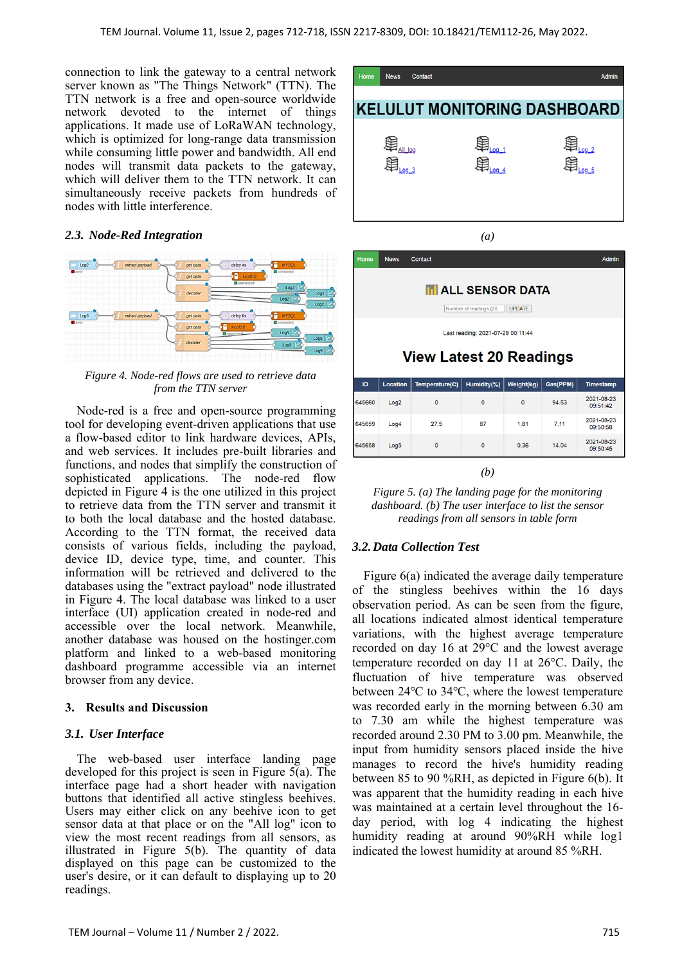connection to link the gateway to a central network server known as "The Things Network" (TTN). The TTN network is a free and open-source worldwide network devoted to the internet of things applications. It made use of LoRaWAN technology, which is optimized for long-range data transmission while consuming little power and bandwidth. All end nodes will transmit data packets to the gateway, which will deliver them to the TTN network. It can simultaneously receive packets from hundreds of nodes with little interference.

# *2.3. Node-Red Integration*



*Figure 4. Node-red flows are used to retrieve data from the TTN server* 

Node-red is a free and open-source programming tool for developing event-driven applications that use a flow-based editor to link hardware devices, APIs, and web services. It includes pre-built libraries and functions, and nodes that simplify the construction of sophisticated applications. The node-red flow depicted in Figure 4 is the one utilized in this project to retrieve data from the TTN server and transmit it to both the local database and the hosted database. According to the TTN format, the received data consists of various fields, including the payload, device ID, device type, time, and counter. This information will be retrieved and delivered to the databases using the "extract payload" node illustrated in Figure 4. The local database was linked to a user interface (UI) application created in node-red and accessible over the local network. Meanwhile, another database was housed on the hostinger.com platform and linked to a web-based monitoring dashboard programme accessible via an internet browser from any device.

## **3. Results and Discussion**

# *3.1. User Interface*

The web-based user interface landing page developed for this project is seen in Figure  $5\overline{(a)}$ . The interface page had a short header with navigation buttons that identified all active stingless beehives. Users may either click on any beehive icon to get sensor data at that place or on the "All log" icon to view the most recent readings from all sensors, as illustrated in Figure 5(b). The quantity of data displayed on this page can be customized to the user's desire, or it can default to displaying up to 20 readings.



*(a)*



| 645660 | Log <sub>2</sub> | 0       | 0       | $\circ$ | 94.53 | 2021-08-23<br>09:51:42 |
|--------|------------------|---------|---------|---------|-------|------------------------|
| 645659 | Log4             | 27.5    | 87      | 1.81    | 7.11  | 2021-08-23<br>09:50:58 |
| 645658 | Log <sub>5</sub> | $\circ$ | $\circ$ | 0.36    | 14.04 | 2021-08-23<br>09:50:45 |
|        |                  |         |         |         |       |                        |

*(b)* 

*Figure 5. (a) The landing page for the monitoring dashboard. (b) The user interface to list the sensor readings from all sensors in table form* 

# *3.2.Data Collection Test*

Figure 6(a) indicated the average daily temperature of the stingless beehives within the 16 days observation period. As can be seen from the figure, all locations indicated almost identical temperature variations, with the highest average temperature recorded on day 16 at 29°C and the lowest average temperature recorded on day 11 at 26°C. Daily, the fluctuation of hive temperature was observed between 24℃ to 34℃, where the lowest temperature was recorded early in the morning between 6.30 am to 7.30 am while the highest temperature was recorded around 2.30 PM to 3.00 pm. Meanwhile, the input from humidity sensors placed inside the hive manages to record the hive's humidity reading between 85 to 90 %RH, as depicted in Figure 6(b). It was apparent that the humidity reading in each hive was maintained at a certain level throughout the 16 day period, with log 4 indicating the highest humidity reading at around 90%RH while log1 indicated the lowest humidity at around 85 %RH.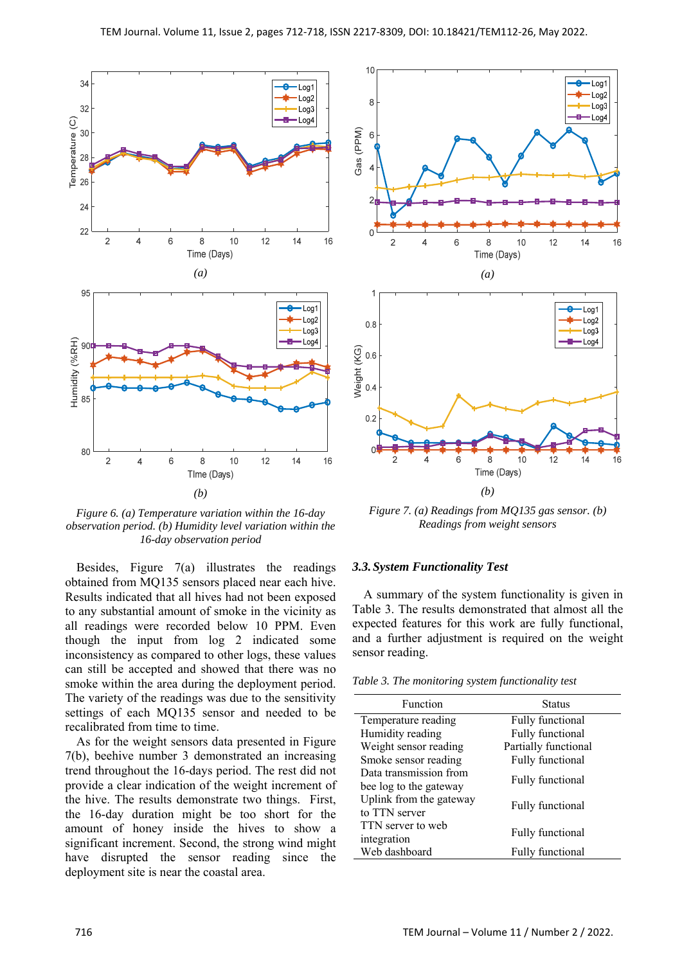

*Figure 6. (a) Temperature variation within the 16-day observation period. (b) Humidity level variation within the 16-day observation period* 

Besides, Figure 7(a) illustrates the readings obtained from MQ135 sensors placed near each hive. Results indicated that all hives had not been exposed to any substantial amount of smoke in the vicinity as all readings were recorded below 10 PPM. Even though the input from log 2 indicated some inconsistency as compared to other logs, these values can still be accepted and showed that there was no smoke within the area during the deployment period. The variety of the readings was due to the sensitivity settings of each MQ135 sensor and needed to be recalibrated from time to time.

As for the weight sensors data presented in Figure 7(b), beehive number 3 demonstrated an increasing trend throughout the 16-days period. The rest did not provide a clear indication of the weight increment of the hive. The results demonstrate two things. First, the 16-day duration might be too short for the amount of honey inside the hives to show a significant increment. Second, the strong wind might have disrupted the sensor reading since the deployment site is near the coastal area.



*Figure 7. (a) Readings from MQ135 gas sensor. (b) Readings from weight sensors* 

#### *3.3.System Functionality Test*

A summary of the system functionality is given in Table 3. The results demonstrated that almost all the expected features for this work are fully functional, and a further adjustment is required on the weight sensor reading.

|  | Table 3. The monitoring system functionality test |  |  |
|--|---------------------------------------------------|--|--|
|  |                                                   |  |  |

| Function                | <b>Status</b>           |  |  |
|-------------------------|-------------------------|--|--|
| Temperature reading     | Fully functional        |  |  |
| Humidity reading        | Fully functional        |  |  |
| Weight sensor reading   | Partially functional    |  |  |
| Smoke sensor reading    | Fully functional        |  |  |
| Data transmission from  |                         |  |  |
| bee log to the gateway  | Fully functional        |  |  |
| Uplink from the gateway |                         |  |  |
| to TTN server           | Fully functional        |  |  |
| TTN server to web       | Fully functional        |  |  |
| integration             |                         |  |  |
| Web dashboard           | <b>Fully functional</b> |  |  |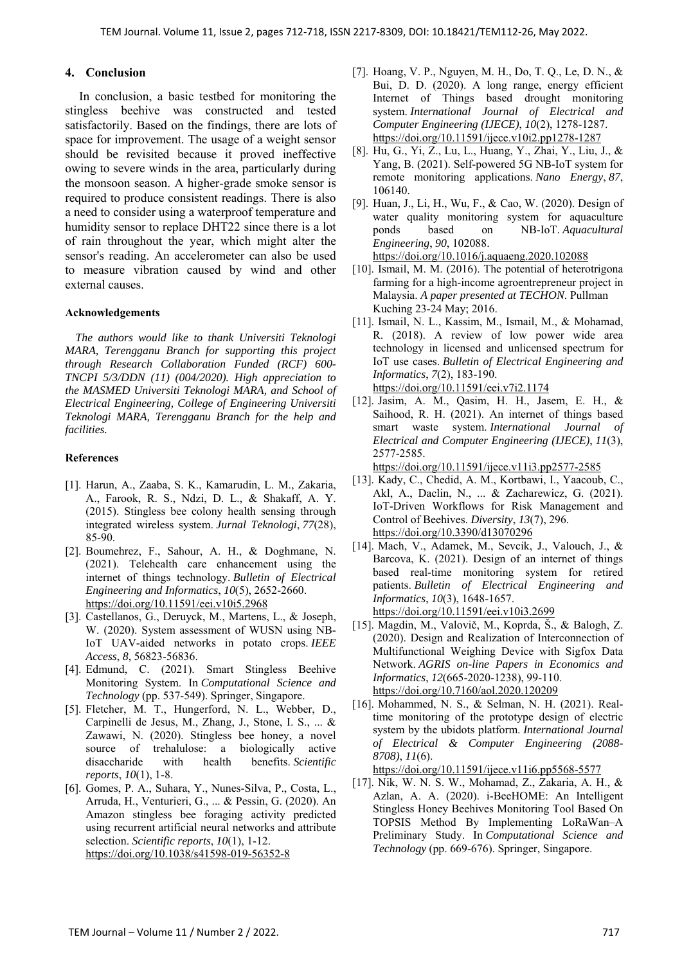# **4. Conclusion**

 In conclusion, a basic testbed for monitoring the stingless beehive was constructed and tested satisfactorily. Based on the findings, there are lots of space for improvement. The usage of a weight sensor should be revisited because it proved ineffective owing to severe winds in the area, particularly during the monsoon season. A higher-grade smoke sensor is required to produce consistent readings. There is also a need to consider using a waterproof temperature and humidity sensor to replace DHT22 since there is a lot of rain throughout the year, which might alter the sensor's reading. An accelerometer can also be used to measure vibration caused by wind and other external causes.

## **Acknowledgements**

*The authors would like to thank Universiti Teknologi MARA, Terengganu Branch for supporting this project through Research Collaboration Funded (RCF) 600- TNCPI 5/3/DDN (11) (004/2020). High appreciation to the MASMED Universiti Teknologi MARA, and School of Electrical Engineering, College of Engineering Universiti Teknologi MARA, Terengganu Branch for the help and facilities.* 

#### **References**

- [1]. Harun, A., Zaaba, S. K., Kamarudin, L. M., Zakaria, A., Farook, R. S., Ndzi, D. L., & Shakaff, A. Y. (2015). Stingless bee colony health sensing through integrated wireless system. *Jurnal Teknologi*, *77*(28), 85-90.
- [2]. Boumehrez, F., Sahour, A. H., & Doghmane, N. (2021). Telehealth care enhancement using the internet of things technology. *Bulletin of Electrical Engineering and Informatics*, *10*(5), 2652-2660. https://doi.org/10.11591/eei.v10i5.2968
- [3]. Castellanos, G., Deruyck, M., Martens, L., & Joseph, W. (2020). System assessment of WUSN using NB-IoT UAV-aided networks in potato crops. *IEEE Access*, *8*, 56823-56836.
- [4]. Edmund, C. (2021). Smart Stingless Beehive Monitoring System. In *Computational Science and Technology* (pp. 537-549). Springer, Singapore.
- [5]. Fletcher, M. T., Hungerford, N. L., Webber, D., Carpinelli de Jesus, M., Zhang, J., Stone, I. S., ... & Zawawi, N. (2020). Stingless bee honey, a novel source of trehalulose: a biologically active disaccharide with health benefits. *Scientific reports*, *10*(1), 1-8.
- [6]. Gomes, P. A., Suhara, Y., Nunes-Silva, P., Costa, L., Arruda, H., Venturieri, G., ... & Pessin, G. (2020). An Amazon stingless bee foraging activity predicted using recurrent artificial neural networks and attribute selection. *Scientific reports*, *10*(1), 1-12. https://doi.org/10.1038/s41598-019-56352-8
- [7]. Hoang, V. P., Nguyen, M. H., Do, T. Q., Le, D. N., & Bui, D. D. (2020). A long range, energy efficient Internet of Things based drought monitoring system. *International Journal of Electrical and Computer Engineering (IJECE)*, *10*(2), 1278-1287. https://doi.org/10.11591/ijece.v10i2.pp1278-1287
- [8]. Hu, G., Yi, Z., Lu, L., Huang, Y., Zhai, Y., Liu, J., & Yang, B. (2021). Self-powered 5G NB-IoT system for remote monitoring applications. *Nano Energy*, *87*, 106140.
- [9]. Huan, J., Li, H., Wu, F., & Cao, W. (2020). Design of water quality monitoring system for aquaculture ponds based on NB-IoT. *Aquacultural Engineering*, *90*, 102088. https://doi.org/10.1016/j.aquaeng.2020.102088
- [10]. Ismail, M. M. (2016). The potential of heterotrigona farming for a high-income agroentrepreneur project in Malaysia. *A paper presented at TECHON*. Pullman Kuching 23-24 May; 2016.
- [11]. Ismail, N. L., Kassim, M., Ismail, M., & Mohamad, R. (2018). A review of low power wide area technology in licensed and unlicensed spectrum for IoT use cases. *Bulletin of Electrical Engineering and Informatics*, *7*(2), 183-190. https://doi.org/10.11591/eei.v7i2.1174
- [12]. Jasim, A. M., Qasim, H. H., Jasem, E. H., & Saihood, R. H. (2021). An internet of things based smart waste system. *International Journal of Electrical and Computer Engineering (IJECE)*, *11*(3), 2577-2585.

https://doi.org/10.11591/ijece.v11i3.pp2577-2585

- [13]. Kady, C., Chedid, A. M., Kortbawi, I., Yaacoub, C., Akl, A., Daclin, N., ... & Zacharewicz, G. (2021). IoT-Driven Workflows for Risk Management and Control of Beehives. *Diversity*, *13*(7), 296. https://doi.org/10.3390/d13070296
- [14]. Mach, V., Adamek, M., Sevcik, J., Valouch, J., & Barcova, K. (2021). Design of an internet of things based real-time monitoring system for retired patients. *Bulletin of Electrical Engineering and Informatics*, *10*(3), 1648-1657. https://doi.org/10.11591/eei.v10i3.2699
- [15]. Magdin, M., Valovič, M., Koprda, Š., & Balogh, Z. (2020). Design and Realization of Interconnection of Multifunctional Weighing Device with Sigfox Data Network. *AGRIS on-line Papers in Economics and Informatics*, *12*(665-2020-1238), 99-110. https://doi.org/10.7160/aol.2020.120209
- [16]. Mohammed, N. S., & Selman, N. H. (2021). Realtime monitoring of the prototype design of electric system by the ubidots platform. *International Journal of Electrical & Computer Engineering (2088- 8708)*, *11*(6).

https://doi.org/10.11591/ijece.v11i6.pp5568-5577

[17]. Nik, W. N. S. W., Mohamad, Z., Zakaria, A. H., & Azlan, A. A. (2020). i-BeeHOME: An Intelligent Stingless Honey Beehives Monitoring Tool Based On TOPSIS Method By Implementing LoRaWan–A Preliminary Study. In *Computational Science and Technology* (pp. 669-676). Springer, Singapore.